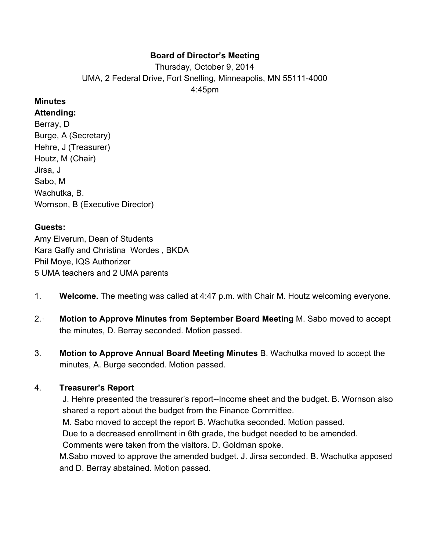### **Board of Director's Meeting**

Thursday, October 9, 2014 UMA, 2 Federal Drive, Fort Snelling, Minneapolis, MN 55111-4000 4:45pm

#### **Minutes**

**Attending:** Berray, D Burge, A (Secretary) Hehre, J (Treasurer) Houtz, M (Chair) Jirsa, J Sabo, M Wachutka, B. Wornson, B (Executive Director)

#### **Guests:**

Amy Elverum, Dean of Students Kara Gaffy and Christina Wordes , BKDA Phil Moye, IQS Authorizer 5 UMA teachers and 2 UMA parents

- 1. **Welcome.** The meeting was called at 4:47 p.m. with Chair M. Houtz welcoming everyone.
- 2. ` **Motion to Approve Minutes from September Board Meeting** M. Sabo moved to accept the minutes, D. Berray seconded. Motion passed.
- 3. **Motion to Approve Annual Board Meeting Minutes** B. Wachutka moved to accept the minutes, A. Burge seconded. Motion passed.

### 4. **Treasurer's Report**

J. Hehre presented the treasurer's report--Income sheet and the budget. B. Wornson also shared a report about the budget from the Finance Committee. M. Sabo moved to accept the report B. Wachutka seconded. Motion passed. Due to a decreased enrollment in 6th grade, the budget needed to be amended. Comments were taken from the visitors. D. Goldman spoke. M.Sabo moved to approve the amended budget. J. Jirsa seconded. B. Wachutka apposed and D. Berray abstained. Motion passed.